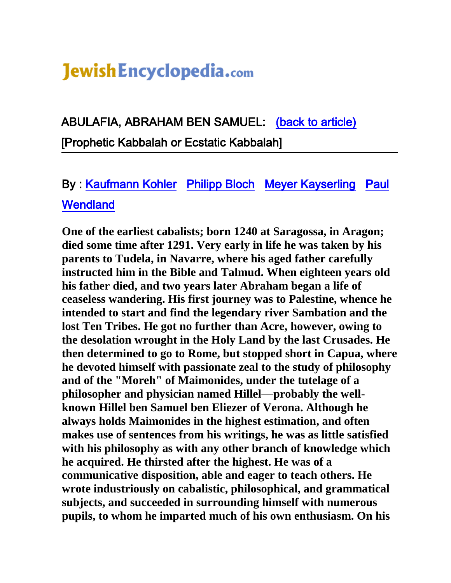## Jewish Encyclopedia.com

ABULAFIA, ABRAHAM BEN SAMUEL: [\(back to article\)](http://www.jewishencyclopedia.com/view.jsp?artid=699&letter=A)  [Prophetic Kabbalah or Ecstatic Kabbalah]

## By : [Kaufmann Kohler](http://www.jewishencyclopedia.com/contrib.jsp?cid=C120089&xid=&artid=699&letter=A) [Philipp Bloch](http://www.jewishencyclopedia.com/contrib.jsp?cid=C090132&xid=&artid=699&letter=A) [Meyer Kayserling](http://www.jewishencyclopedia.com/contrib.jsp?cid=C110107&xid=&artid=699&letter=A) [Paul](http://www.jewishencyclopedia.com/contrib.jsp?cid=C010128&xid=&artid=699&letter=A)  **Wendland**

 **intended to start and find the legendary river Sambation and the then determined to go to Rome, but stopped short in Capua, where One of the earliest cabalists; born 1240 at Saragossa, in Aragon; died some time after 1291. Very early in life he was taken by his parents to Tudela, in Navarre, where his aged father carefully instructed him in the Bible and Talmud. When eighteen years old his father died, and two years later Abraham began a life of ceaseless wandering. His first journey was to Palestine, whence he lost Ten Tribes. He got no further than Acre, however, owing to the desolation wrought in the Holy Land by the last Crusades. He he devoted himself with passionate zeal to the study of philosophy and of the "Moreh" of Maimonides, under the tutelage of a philosopher and physician named Hillel—probably the wellknown Hillel ben Samuel ben Eliezer of Verona. Although he always holds Maimonides in the highest estimation, and often makes use of sentences from his writings, he was as little satisfied with his philosophy as with any other branch of knowledge which he acquired. He thirsted after the highest. He was of a communicative disposition, able and eager to teach others. He wrote industriously on cabalistic, philosophical, and grammatical subjects, and succeeded in surrounding himself with numerous pupils, to whom he imparted much of his own enthusiasm. On his**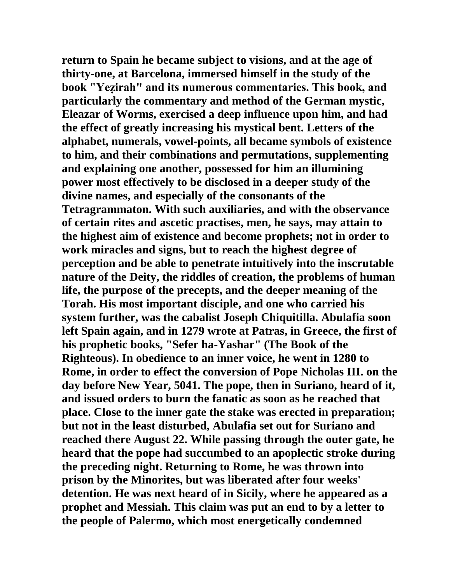**return to Spain he became subject to visions, and at the age of thirty-one, at Barcelona, immersed himself in the study of the book "Yeẓirah" and its numerous commentaries. This book, and particularly the commentary and method of the German mystic, Eleazar of Worms, exercised a deep influence upon him, and had the effect of greatly increasing his mystical bent. Letters of the alphabet, numerals, vowel-points, all became symbols of existence to him, and their combinations and permutations, supplementing and explaining one another, possessed for him an illumining power most effectively to be disclosed in a deeper study of the divine names, and especially of the consonants of the Tetragrammaton. With such auxiliaries, and with the observance of certain rites and ascetic practises, men, he says, may attain to the highest aim of existence and become prophets; not in order to work miracles and signs, but to reach the highest degree of perception and be able to penetrate intuitively into the inscrutable nature of the Deity, the riddles of creation, the problems of human life, the purpose of the precepts, and the deeper meaning of the Torah. His most important disciple, and one who carried his system further, was the cabalist Joseph Chiquitilla. Abulafia soon left Spain again, and in 1279 wrote at Patras, in Greece, the first of his prophetic books, "Sefer ha-Yashar" (The Book of the Righteous). In obedience to an inner voice, he went in 1280 to Rome, in order to effect the conversion of Pope Nicholas III. on the day before New Year, 5041. The pope, then in Suriano, heard of it, and issued orders to burn the fanatic as soon as he reached that place. Close to the inner gate the stake was erected in preparation; but not in the least disturbed, Abulafia set out for Suriano and reached there August 22. While passing through the outer gate, he heard that the pope had succumbed to an apoplectic stroke during the preceding night. Returning to Rome, he was thrown into prison by the Minorites, but was liberated after four weeks' detention. He was next heard of in Sicily, where he appeared as a prophet and Messiah. This claim was put an end to by a letter to the people of Palermo, which most energetically condemned**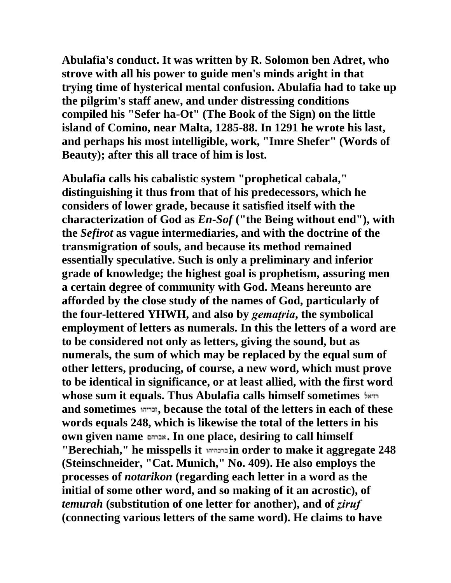**Abulafia's conduct. It was written by R. Solomon ben Adret, who strove with all his power to guide men's minds aright in that trying time of hysterical mental confusion. Abulafia had to take up the pilgrim's staff anew, and under distressing conditions compiled his "Sefer ha-Ot" (The Book of the Sign) on the little island of Comino, near Malta, 1285-88. In 1291 he wrote his last, and perhaps his most intelligible, work, "Imre Shefer" (Words of Beauty); after this all trace of him is lost.**

**Abulafia calls his cabalistic system "prophetical cabala," distinguishing it thus from that of his predecessors, which he considers of lower grade, because it satisfied itself with the characterization of God as** *En-Sof* **("the Being without end"), with the** *Sefirot* **as vague intermediaries, and with the doctrine of the transmigration of souls, and because its method remained essentially speculative. Such is only a preliminary and inferior grade of knowledge; the highest goal is prophetism, assuring men a certain degree of community with God. Means hereunto are afforded by the close study of the names of God, particularly of the four-lettered YHWH, and also by** *gemaṭria***, the symbolical employment of letters as numerals. In this the letters of a word are to be considered not only as letters, giving the sound, but as numerals, the sum of which may be replaced by the equal sum of other letters, producing, of course, a new word, which must prove to be identical in significance, or at least allied, with the first word whose sum it equals. Thus Abulafia calls himself sometimes and sometimes , because the total of the letters in each of these words equals 248, which is likewise the total of the letters in his own given name . In one place, desiring to call himself "Berechiah," he misspells it in order to make it aggregate 248 (Steinschneider, "Cat. Munich," No. 409). He also employs the processes of** *notarikon* **(regarding each letter in a word as the initial of some other word, and so making of it an acrostic), of**  *temurah* **(substitution of one letter for another), and of** *ẓiruf* **(connecting various letters of the same word). He claims to have**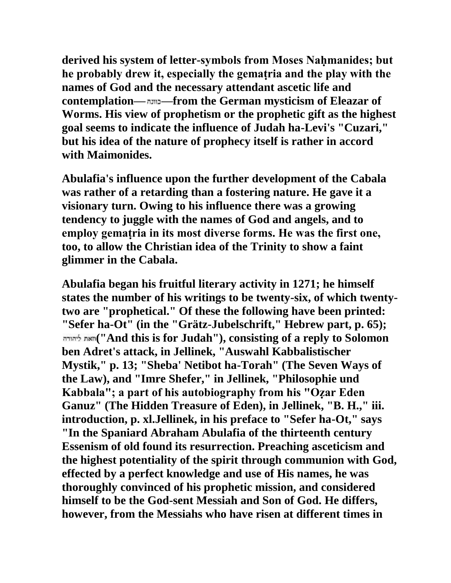derived his system of letter-symbols from Moses Nahmanides; but **he probably drew it, especially the gemaṭria and the play with the names of God and the necessary attendant ascetic life and contemplation— —from the German mysticism of Eleazar of Worms. His view of prophetism or the prophetic gift as the highest goal seems to indicate the influence of Judah ha-Levi's "Cuzari," but his idea of the nature of prophecy itself is rather in accord with Maimonides.**

**Abulafia's influence upon the further development of the Cabala was rather of a retarding than a fostering nature. He gave it a visionary turn. Owing to his influence there was a growing tendency to juggle with the names of God and angels, and to employ gemaṭria in its most diverse forms. He was the first one, too, to allow the Christian idea of the Trinity to show a faint glimmer in the Cabala.**

**Abulafia began his fruitful literary activity in 1271; he himself states the number of his writings to be twenty-six, of which twentytwo are "prophetical." Of these the following have been printed: "Sefer ha-Ot" (in the "Grätz-Jubelschrift," Hebrew part, p. 65); ("And this is for Judah"), consisting of a reply to Solomon ben Adret's attack, in Jellinek, "Auswahl Kabbalistischer Mystik," p. 13; "Sheba' Netibot ha-Torah" (The Seven Ways of the Law), and "Imre Shefer," in Jellinek, "Philosophie und Kabbala"; a part of his autobiography from his "Oẓar Eden Ganuz" (The Hidden Treasure of Eden), in Jellinek, "B. H.," iii. introduction, p. xl.Jellinek, in his preface to "Sefer ha-Ot," says "In the Spaniard Abraham Abulafia of the thirteenth century Essenism of old found its resurrection. Preaching asceticism and the highest potentiality of the spirit through communion with God, effected by a perfect knowledge and use of His names, he was thoroughly convinced of his prophetic mission, and considered himself to be the God-sent Messiah and Son of God. He differs, however, from the Messiahs who have risen at different times in**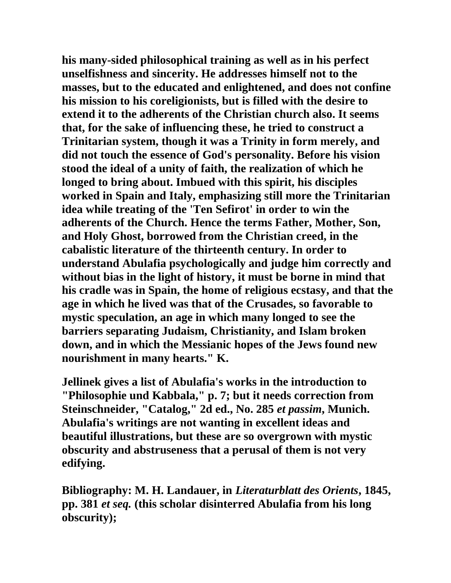**his many-sided philosophical training as well as in his perfect unselfishness and sincerity. He addresses himself not to the masses, but to the educated and enlightened, and does not confine his mission to his coreligionists, but is filled with the desire to extend it to the adherents of the Christian church also. It seems that, for the sake of influencing these, he tried to construct a Trinitarian system, though it was a Trinity in form merely, and did not touch the essence of God's personality. Before his vision stood the ideal of a unity of faith, the realization of which he longed to bring about. Imbued with this spirit, his disciples worked in Spain and Italy, emphasizing still more the Trinitarian idea while treating of the 'Ten Sefirot' in order to win the adherents of the Church. Hence the terms Father, Mother, Son, and Holy Ghost, borrowed from the Christian creed, in the cabalistic literature of the thirteenth century. In order to understand Abulafia psychologically and judge him correctly and without bias in the light of history, it must be borne in mind that his cradle was in Spain, the home of religious ecstasy, and that the age in which he lived was that of the Crusades, so favorable to mystic speculation, an age in which many longed to see the barriers separating Judaism, Christianity, and Islam broken down, and in which the Messianic hopes of the Jews found new nourishment in many hearts." K.**

**Jellinek gives a list of Abulafia's works in the introduction to "Philosophie und Kabbala," p. 7; but it needs correction from Steinschneider, "Catalog," 2d ed., No. 285** *et passim***, Munich. Abulafia's writings are not wanting in excellent ideas and beautiful illustrations, but these are so overgrown with mystic obscurity and abstruseness that a perusal of them is not very edifying.**

**Bibliography: M. H. Landauer, in** *Literaturblatt des Orients***, 1845, pp. 381** *et seq.* **(this scholar disinterred Abulafia from his long obscurity);**